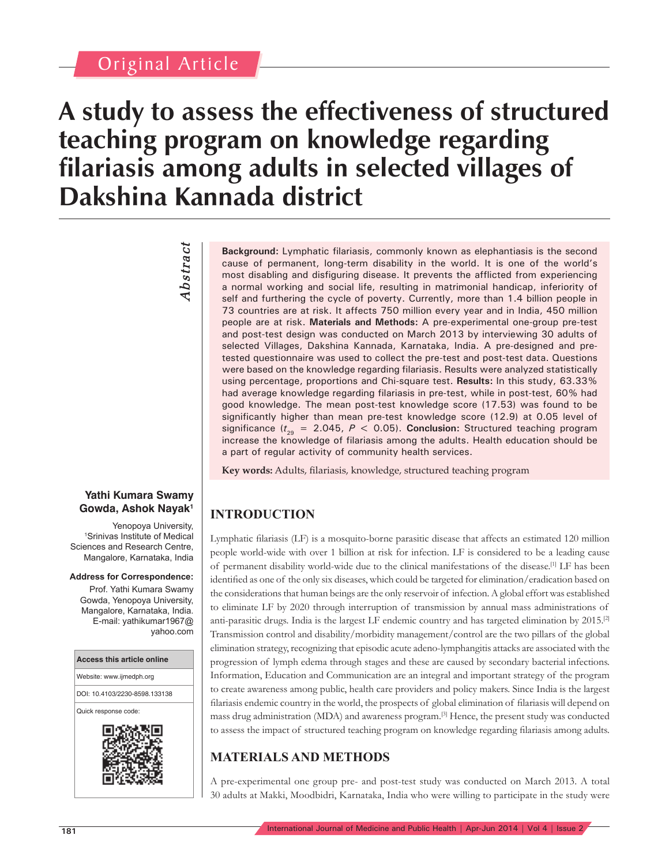# Original Article

# **A study to assess the effectiveness of structured teaching program on knowledge regarding filariasis among adults in selected villages of Dakshina Kannada district**

# *Abstract* **Abstract**

#### **Yathi Kumara Swamy Gowda, Ashok Nayak1**

Yenopoya University, 1 Srinivas Institute of Medical Sciences and Research Centre, Mangalore, Karnataka, India

#### **Address for Correspondence:**

Prof. Yathi Kumara Swamy Gowda, Yenopoya University, Mangalore, Karnataka, India. E-mail: yathikumar1967@ yahoo.com



**Background:** Lymphatic filariasis, commonly known as elephantiasis is the second cause of permanent, long-term disability in the world. It is one of the world's most disabling and disfiguring disease. It prevents the afflicted from experiencing a normal working and social life, resulting in matrimonial handicap, inferiority of self and furthering the cycle of poverty. Currently, more than 1.4 billion people in 73 countries are at risk. It affects 750 million every year and in India, 450 million people are at risk. **Materials and Methods:** A pre-experimental one-group pre-test and post-test design was conducted on March 2013 by interviewing 30 adults of selected Villages, Dakshina Kannada, Karnataka, India. A pre-designed and pretested questionnaire was used to collect the pre-test and post-test data. Questions were based on the knowledge regarding filariasis. Results were analyzed statistically using percentage, proportions and Chi-square test. **Results:** In this study, 63.33% had average knowledge regarding filariasis in pre-test, while in post-test, 60% had good knowledge. The mean post-test knowledge score (17.53) was found to be significantly higher than mean pre-test knowledge score (12.9) at 0.05 level of significance  $(t_{29} = 2.045, P < 0.05)$ . **Conclusion:** Structured teaching program increase the knowledge of filariasis among the adults. Health education should be a part of regular activity of community health services.

**Key words:** Adults, filariasis, knowledge, structured teaching program

# **INTRODUCTION**

Lymphatic filariasis (LF) is a mosquito-borne parasitic disease that affects an estimated 120 million people world-wide with over 1 billion at risk for infection. LF is considered to be a leading cause of permanent disability world-wide due to the clinical manifestations of the disease.<sup>[1]</sup> LF has been identified as one of the only six diseases, which could be targeted for elimination/eradication based on the considerations that human beings are the only reservoir of infection. A global effort was established to eliminate LF by 2020 through interruption of transmission by annual mass administrations of anti-parasitic drugs. India is the largest LF endemic country and has targeted elimination by 2015.[2] Transmission control and disability/morbidity management/control are the two pillars of the global elimination strategy, recognizing that episodic acute adeno-lymphangitis attacks are associated with the progression of lymph edema through stages and these are caused by secondary bacterial infections. Information, Education and Communication are an integral and important strategy of the program to create awareness among public, health care providers and policy makers. Since India is the largest filariasis endemic country in the world, the prospects of global elimination of filariasis will depend on mass drug administration (MDA) and awareness program.[3] Hence, the present study was conducted to assess the impact of structured teaching program on knowledge regarding filariasis among adults.

# **MATERIALS AND METHODS**

A pre-experimental one group pre- and post-test study was conducted on March 2013. A total 30 adults at Makki, Moodbidri, Karnataka, India who were willing to participate in the study were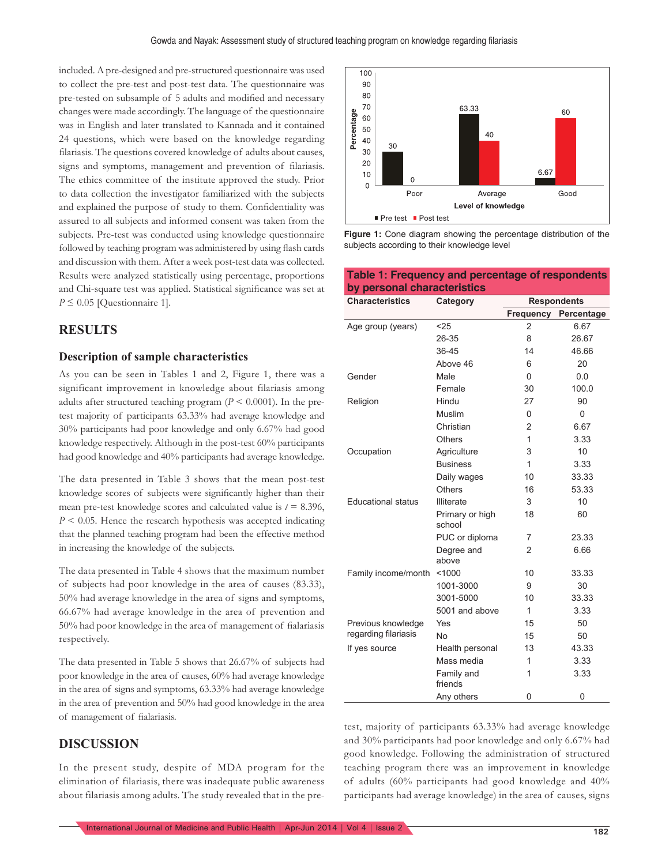included. A pre-designed and pre-structured questionnaire was used to collect the pre-test and post-test data. The questionnaire was pre-tested on subsample of 5 adults and modified and necessary changes were made accordingly. The language of the questionnaire was in English and later translated to Kannada and it contained 24 questions, which were based on the knowledge regarding filariasis. The questions covered knowledge of adults about causes, signs and symptoms, management and prevention of filariasis. The ethics committee of the institute approved the study. Prior to data collection the investigator familiarized with the subjects and explained the purpose of study to them. Confidentiality was assured to all subjects and informed consent was taken from the subjects. Pre-test was conducted using knowledge questionnaire followed by teaching program was administered by using flash cards and discussion with them. After a week post-test data was collected. Results were analyzed statistically using percentage, proportions and Chi-square test was applied. Statistical significance was set at  $P \leq 0.05$  [Questionnaire 1].

### **RESULTS**

#### **Description of sample characteristics**

As you can be seen in Tables 1 and 2, Figure 1, there was a significant improvement in knowledge about filariasis among adults after structured teaching program  $(P \le 0.0001)$ . In the pretest majority of participants 63.33% had average knowledge and 30% participants had poor knowledge and only 6.67% had good knowledge respectively. Although in the post-test 60% participants had good knowledge and 40% participants had average knowledge.

The data presented in Table 3 shows that the mean post-test knowledge scores of subjects were significantly higher than their mean pre-test knowledge scores and calculated value is  $t = 8.396$ , *P* < 0.05. Hence the research hypothesis was accepted indicating that the planned teaching program had been the effective method in increasing the knowledge of the subjects.

The data presented in Table 4 shows that the maximum number of subjects had poor knowledge in the area of causes (83.33), 50% had average knowledge in the area of signs and symptoms, 66.67% had average knowledge in the area of prevention and 50% had poor knowledge in the area of management of fialariasis respectively.

The data presented in Table 5 shows that 26.67% of subjects had poor knowledge in the area of causes, 60% had average knowledge in the area of signs and symptoms, 63.33% had average knowledge in the area of prevention and 50% had good knowledge in the area of management of fialariasis.

#### **DISCUSSION**

In the present study, despite of MDA program for the elimination of filariasis, there was inadequate public awareness about filariasis among adults. The study revealed that in the pre-



**Figure 1:** Cone diagram showing the percentage distribution of the subjects according to their knowledge level

**Table 1: Frequency and percentage of respondents** 

| by personal characteristics        |                           |                    |              |  |  |
|------------------------------------|---------------------------|--------------------|--------------|--|--|
| <b>Characteristics</b><br>Category |                           | <b>Respondents</b> |              |  |  |
|                                    |                           | Frequency          | Percentage   |  |  |
| Age group (years)                  | $25$                      | $\overline{2}$     | 6.67         |  |  |
|                                    | 26-35                     | 8                  | 26.67        |  |  |
|                                    | 36-45                     | 14                 | 46.66        |  |  |
|                                    | Above 46                  | 6                  | 20           |  |  |
| Gender                             | Male                      | $\Omega$           | 0.0          |  |  |
|                                    | Female                    | 30                 | 100.0        |  |  |
| Religion                           | Hindu                     | 27                 | 90           |  |  |
|                                    | Muslim                    | 0                  | $\Omega$     |  |  |
|                                    | Christian                 | 2                  | 6.67         |  |  |
|                                    | <b>Others</b>             | 1                  | 3.33         |  |  |
| Occupation                         | Agriculture               | 3                  | 10           |  |  |
|                                    | <b>Business</b>           | 1                  | 3.33         |  |  |
|                                    | Daily wages               | 10                 | 33.33        |  |  |
|                                    | <b>Others</b>             | 16                 | 53.33        |  |  |
| <b>Educational status</b>          | <b>Illiterate</b>         | 3                  | 10           |  |  |
|                                    | Primary or high<br>school | 18                 | 60           |  |  |
|                                    | PUC or diploma            | 7                  | 23.33        |  |  |
|                                    | Degree and<br>above       | 2                  | 6.66         |  |  |
| Family income/month                | < 1000                    | 10                 | 33.33        |  |  |
|                                    | 1001-3000                 | 9                  | 30           |  |  |
|                                    | 3001-5000                 | 10                 | 33.33        |  |  |
|                                    | 5001 and above            | $\mathbf{1}$       | 3.33         |  |  |
| Previous knowledge                 | Yes                       | 15                 | 50           |  |  |
| regarding filariasis               | No                        | 15                 | 50           |  |  |
| If yes source                      | Health personal           | 13                 | 43.33        |  |  |
|                                    | Mass media                | 1                  | 3.33         |  |  |
|                                    | Family and<br>friends     | 1                  | 3.33         |  |  |
|                                    | Any others                | $\Omega$           | $\mathbf{0}$ |  |  |

test, majority of participants 63.33% had average knowledge and 30% participants had poor knowledge and only 6.67% had good knowledge. Following the administration of structured teaching program there was an improvement in knowledge of adults (60% participants had good knowledge and 40% participants had average knowledge) in the area of causes, signs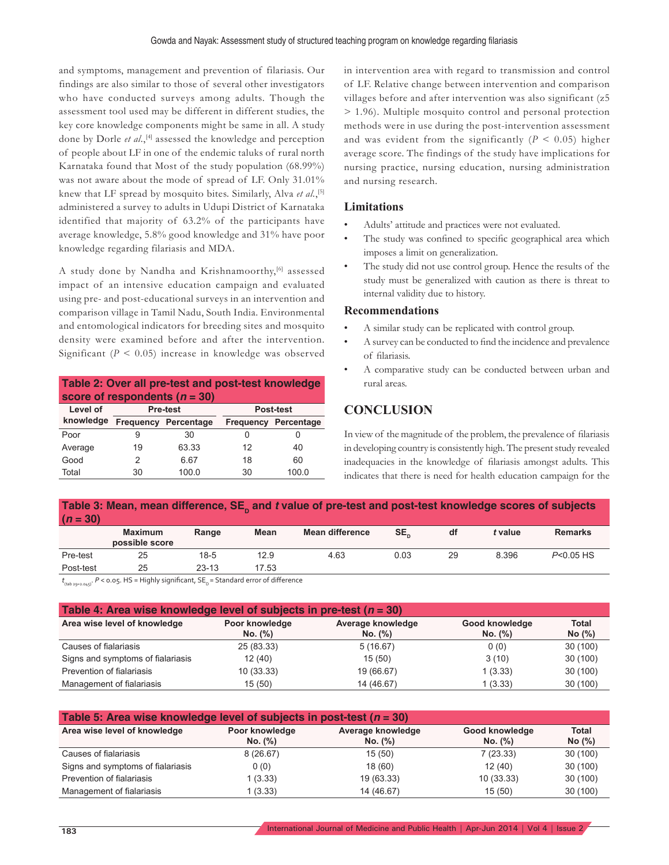and symptoms, management and prevention of filariasis. Our findings are also similar to those of several other investigators who have conducted surveys among adults. Though the assessment tool used may be different in different studies, the key core knowledge components might be same in all. A study done by Dorle *et al.*,<sup>[4]</sup> assessed the knowledge and perception of people about LF in one of the endemic taluks of rural north Karnataka found that Most of the study population (68.99%) was not aware about the mode of spread of LF. Only 31.01% knew that LF spread by mosquito bites. Similarly, Alva et al.,<sup>[5]</sup> administered a survey to adults in Udupi District of Karnataka identified that majority of 63.2% of the participants have average knowledge, 5.8% good knowledge and 31% have poor knowledge regarding filariasis and MDA.

A study done by Nandha and Krishnamoorthy,<sup>[6]</sup> assessed impact of an intensive education campaign and evaluated using pre- and post-educational surveys in an intervention and comparison village in Tamil Nadu, South India. Environmental and entomological indicators for breeding sites and mosquito density were examined before and after the intervention. Significant  $(P < 0.05)$  increase in knowledge was observed

| Table 2: Over all pre-test and post-test knowledge<br>score of respondents $(n = 30)$ |                              |                             |    |                             |  |
|---------------------------------------------------------------------------------------|------------------------------|-----------------------------|----|-----------------------------|--|
| Level of                                                                              | Post-test<br><b>Pre-test</b> |                             |    |                             |  |
| knowledge                                                                             |                              | <b>Frequency Percentage</b> |    | <b>Frequency Percentage</b> |  |
| Poor                                                                                  | 9                            | 30                          | O  |                             |  |
| Average                                                                               | 19                           | 63.33                       | 12 | 40                          |  |
| Good                                                                                  | 2                            | 6.67                        | 18 | 60                          |  |
| Total                                                                                 | 30                           | 100.0                       | 30 | 100.0                       |  |

in intervention area with regard to transmission and control of LF. Relative change between intervention and comparison villages before and after intervention was also significant (z5 > 1.96). Multiple mosquito control and personal protection methods were in use during the post-intervention assessment and was evident from the significantly  $(P < 0.05)$  higher average score. The findings of the study have implications for nursing practice, nursing education, nursing administration and nursing research.

#### **Limitations**

- Adults' attitude and practices were not evaluated.
- The study was confined to specific geographical area which imposes a limit on generalization.
- The study did not use control group. Hence the results of the study must be generalized with caution as there is threat to internal validity due to history.

#### **Recommendations**

- A similar study can be replicated with control group.
- A survey can be conducted to find the incidence and prevalence of filariasis.
- A comparative study can be conducted between urban and rural areas.

## **CONCLUSION**

In view of the magnitude of the problem, the prevalence of filariasis in developing country is consistently high. The present study revealed inadequacies in the knowledge of filariasis amongst adults. This indicates that there is need for health education campaign for the

| Table 3: Mean, mean difference, SE, and t value of pre-test and post-test knowledge scores of subjects<br>$(n = 30)$ |                                  |           |       |                        |      |    |         |                |
|----------------------------------------------------------------------------------------------------------------------|----------------------------------|-----------|-------|------------------------|------|----|---------|----------------|
|                                                                                                                      | <b>Maximum</b><br>possible score | Range     | Mean  | <b>Mean difference</b> | SE,  | df | t value | <b>Remarks</b> |
| Pre-test                                                                                                             | 25                               | $18 - 5$  | 12.9  | 4.63                   | 0.03 | 29 | 8.396   | $P<0.05$ HS    |
| Post-test                                                                                                            | 25                               | $23 - 13$ | 17.53 |                        |      |    |         |                |

t<sub>(tab 29=2.045)</sub>. *P* < 0.05. HS = Highly significant, SE<sub>D</sub> = Standard error of difference

| Table 4: Area wise knowledge level of subjects in pre-test ( $n = 30$ ) |                |                   |                |              |  |  |
|-------------------------------------------------------------------------|----------------|-------------------|----------------|--------------|--|--|
| Area wise level of knowledge                                            | Poor knowledge | Average knowledge | Good knowledge | <b>Total</b> |  |  |
|                                                                         | No. (%)        | No. (%)           | No. (%)        | No (%)       |  |  |
| Causes of fialariasis                                                   | 25 (83.33)     | 5(16.67)          | 0(0)           | 30 (100)     |  |  |
| Signs and symptoms of fialariasis                                       | 12(40)         | 15(50)            | 3(10)          | 30 (100)     |  |  |
| Prevention of fialariasis                                               | 10(33.33)      | 19 (66.67)        | 1(3.33)        | 30 (100)     |  |  |
| Management of fialariasis                                               | 15 (50)        | 14 (46.67)        | 1(3.33)        | 30(100)      |  |  |

| Table 5: Area wise knowledge level of subjects in post-test ( $n = 30$ ) |                           |                              |                           |                        |  |  |
|--------------------------------------------------------------------------|---------------------------|------------------------------|---------------------------|------------------------|--|--|
| Area wise level of knowledge                                             | Poor knowledge<br>No. (%) | Average knowledge<br>No. (%) | Good knowledge<br>No. (%) | <b>Total</b><br>No (%) |  |  |
| Causes of fialariasis                                                    | 8(26.67)                  | 15(50)                       | 7(23.33)                  | 30(100)                |  |  |
| Signs and symptoms of fialariasis                                        | 0(0)                      | 18 (60)                      | 12(40)                    | 30(100)                |  |  |
| Prevention of fialariasis                                                | 1 (3.33)                  | 19 (63.33)                   | 10 (33.33)                | 30(100)                |  |  |
| Management of fialariasis                                                | (3.33)                    | 14 (46.67)                   | 15(50)                    | 30(100)                |  |  |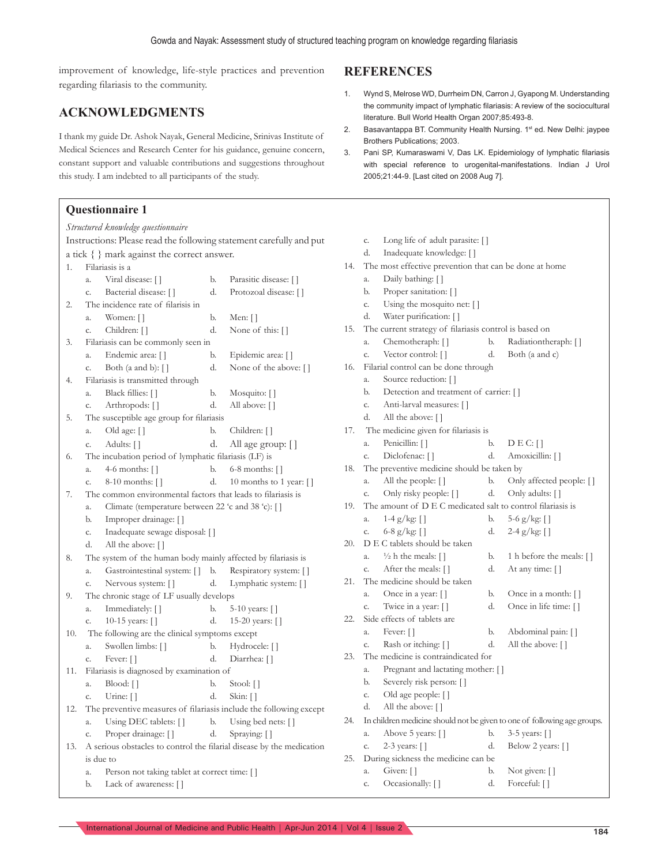improvement of knowledge, life-style practices and prevention regarding filariasis to the community.

# **ACKNOWLEDGMENTS**

I thank my guide Dr. Ashok Nayak, General Medicine, Srinivas Institute of Medical Sciences and Research Center for his guidance, genuine concern, constant support and valuable contributions and suggestions throughout this study. I am indebted to all participants of the study.

#### **Questionnaire 1**

|     | Structured knowledge questionnaire                                    |    |                               |  |  |  |
|-----|-----------------------------------------------------------------------|----|-------------------------------|--|--|--|
|     | Instructions: Please read the following statement carefully and put   |    |                               |  |  |  |
|     | a tick { } mark against the correct answer.                           |    |                               |  |  |  |
| 1.  | Filariasis is a                                                       |    |                               |  |  |  |
|     | Viral disease: []<br>a.                                               | b. | Parasitic disease: []         |  |  |  |
|     | Bacterial disease: []<br>c.                                           | d. | Protozoal disease: []         |  |  |  |
| 2.  | The incidence rate of filarisis in                                    |    |                               |  |  |  |
|     | Women: []<br>a.                                                       | b. | Men: $\lceil \rceil$          |  |  |  |
|     | Children: []<br>c.                                                    | d. | None of this: []              |  |  |  |
| 3.  | Filariasis can be commonly seen in                                    |    |                               |  |  |  |
|     | Endemic area: []<br>a.                                                | b. | Epidemic area: []             |  |  |  |
|     | Both (a and b): $\lceil \cdot \rceil$<br>c.                           | d. | None of the above: []         |  |  |  |
| 4.  | Filariasis is transmitted through                                     |    |                               |  |  |  |
|     | Black fillies: []<br>a.                                               | b. | Mosquito: []                  |  |  |  |
|     | Arthropods: []<br>c.                                                  | d. | All above: []                 |  |  |  |
| 5.  | The susceptible age group for filariasis                              |    |                               |  |  |  |
|     | Old age: []<br>а.                                                     | b. | Children: []                  |  |  |  |
|     | Adults: []<br>c.                                                      | d. | All age group:                |  |  |  |
| 6.  | The incubation period of lymphatic filariasis (LF) is                 |    |                               |  |  |  |
|     | 4-6 months: $\lceil \rceil$<br>a.                                     | b. | $6-8$ months: $\lceil \rceil$ |  |  |  |
|     | 8-10 months: []<br>c.                                                 | d. | 10 months to 1 year: []       |  |  |  |
| 7.  | The common environmental factors that leads to filariasis is          |    |                               |  |  |  |
|     | Climate (temperature between 22 'c and 38 'c): []<br>a.               |    |                               |  |  |  |
|     | Improper drainage: []<br>b.                                           |    |                               |  |  |  |
|     | Inadequate sewage disposal: []<br>c.                                  |    |                               |  |  |  |
|     | d.<br>All the above: []                                               |    |                               |  |  |  |
| 8.  | The system of the human body mainly affected by filariasis is         |    |                               |  |  |  |
|     | Gastrointestinal system: []<br>a.                                     | b. | Respiratory system: []        |  |  |  |
|     | Nervous system: []<br>c.                                              | d. | Lymphatic system: []          |  |  |  |
| 9.  | The chronic stage of LF usually develops                              |    |                               |  |  |  |
|     | Immediately: []<br>a.                                                 | b. | 5-10 years: []                |  |  |  |
|     | 10-15 years: $\lceil \cdot \rceil$<br>c.                              | d. | 15-20 years: []               |  |  |  |
| 10. | The following are the clinical symptoms except                        |    |                               |  |  |  |
|     | Swollen limbs: []<br>a.                                               | b. | Hydrocele: []                 |  |  |  |
|     | Fever: []<br>c.                                                       | d. | Diarrhea: []                  |  |  |  |
| 11. | Filariasis is diagnosed by examination of                             |    |                               |  |  |  |
|     | Blood: []<br>a.                                                       | b. | Stool: []                     |  |  |  |
|     | Urine: []<br>c.                                                       | d. | Skin: []                      |  |  |  |
| 12. | The preventive measures of filariasis include the following except    |    |                               |  |  |  |
|     | Using DEC tablets: []<br>a.                                           | b. | Using bed nets: []            |  |  |  |
|     | Proper drainage: []<br>c.                                             | d. | Spraying: []                  |  |  |  |
| 13. | A serious obstacles to control the filarial disease by the medication |    |                               |  |  |  |
|     | is due to                                                             |    |                               |  |  |  |
|     | Person not taking tablet at correct time: []<br>a.                    |    |                               |  |  |  |
|     | Lack of awareness: []<br>b.                                           |    |                               |  |  |  |

### **REFERENCES**

- 1. Wynd S, Melrose WD, Durrheim DN, Carron J, Gyapong M. Understanding the community impact of lymphatic filariasis: A review of the sociocultural literature. Bull World Health Organ 2007;85:493-8.
- 2. Basavantappa BT. Community Health Nursing. 1<sup>st</sup> ed. New Delhi: jaypee Brothers Publications; 2003.
- 3. Pani SP, Kumaraswami V, Das LK. Epidemiology of lymphatic filariasis with special reference to urogenital-manifestations. Indian J Urol 2005;21:44-9. [Last cited on 2008 Aug 7].

|     | c. | Long life of adult parasite: []                             |    |                                                                          |
|-----|----|-------------------------------------------------------------|----|--------------------------------------------------------------------------|
|     | d. | Inadequate knowledge: []                                    |    |                                                                          |
| 14. |    | The most effective prevention that can be done at home      |    |                                                                          |
|     | a. | Daily bathing: []                                           |    |                                                                          |
|     | b. | Proper sanitation: []                                       |    |                                                                          |
|     | c. | Using the mosquito net: []                                  |    |                                                                          |
|     | d. | Water purification: []                                      |    |                                                                          |
| 15. |    | The current strategy of filariasis control is based on      |    |                                                                          |
|     | a. | Chemotheraph: []                                            | b. | Radiationtheraph: []                                                     |
|     | c. | Vector control: []                                          | d. | Both (a and c)                                                           |
| 16. |    | Filarial control can be done through                        |    |                                                                          |
|     | a. | Source reduction: []                                        |    |                                                                          |
|     | b. | Detection and treatment of carrier: []                      |    |                                                                          |
|     | c. | Anti-larval measures: []                                    |    |                                                                          |
|     | d. | All the above: []                                           |    |                                                                          |
| 17. |    | The medicine given for filariasis is                        |    |                                                                          |
|     | a. | Penicillin: []                                              | b. | D E C: []                                                                |
|     | c. | Diclofenac: []                                              | d. | Amoxicillin: []                                                          |
| 18. |    | The preventive medicine should be taken by                  |    |                                                                          |
|     | a. | All the people: []                                          | b. | Only affected people: []                                                 |
|     | c. | Only risky people: []                                       | d. | Only adults: []                                                          |
| 19. |    | The amount of D E C medicated salt to control filariasis is |    |                                                                          |
|     | a. | $1-4$ g/kg: []                                              | b. | 5-6 g/kg: []                                                             |
|     | c. | 6-8 g/kg: $[$ ]                                             | d. | $2-4$ g/kg: []                                                           |
| 20. |    | D E C tablets should be taken                               |    |                                                                          |
|     | a. | $\frac{1}{2}$ h the meals: []                               | b. | 1 h before the meals: []                                                 |
|     | c. | After the meals: []                                         | d. | At any time: []                                                          |
| 21. | a. | The medicine should be taken                                | b. |                                                                          |
|     | c. | Once in a year: []<br>Twice in a year: []                   | d. | Once in a month: []<br>Once in life time: []                             |
| 22. |    | Side effects of tablets are                                 |    |                                                                          |
|     | a. | Fever: []                                                   | b. | Abdominal pain: []                                                       |
|     | c. | Rash or itching: []                                         | d. | All the above: []                                                        |
| 23. |    | The medicine is contraindicated for                         |    |                                                                          |
|     | a. | Pregnant and lactating mother: []                           |    |                                                                          |
|     | b. | Severely risk person: []                                    |    |                                                                          |
|     | c. | Old age people: []                                          |    |                                                                          |
|     | d. | All the above: []                                           |    |                                                                          |
| 24. |    |                                                             |    | In children medicine should not be given to one of following age groups. |
|     | a. | Above 5 years: []                                           | b. | 3-5 years: []                                                            |
|     | c. | 2-3 years: []                                               | d. | Below 2 years: []                                                        |
| 25. |    | During sickness the medicine can be                         |    |                                                                          |
|     | a. | Given: $\lceil \cdot \rceil$                                | b. | Not given: []                                                            |
|     | C. | Occasionally: []                                            | d. | Forceful: []                                                             |